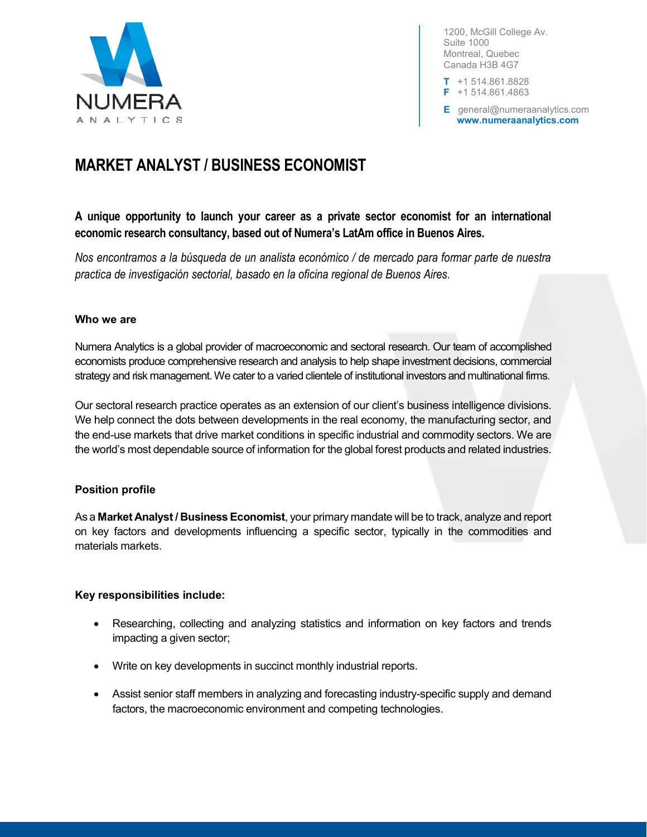

1200, McGill College Av. Suite 1000 Montreal, Quebec Canada H3B 4G7

 $T + 1514.861.8828$ F +1 514.861.4863

E general@numeraanalytics.com www.numeraanalytics.com

# MARKET ANALYST / BUSINESS ECONOMIST

# A unique opportunity to launch your career as a private sector economist for an international economic research consultancy, based out of Numera's LatAm office in Buenos Aires.

Nos encontramos a la búsqueda de un analista económico / de mercado para formar parte de nuestra practica de investigación sectorial, basado en la oficina regional de Buenos Aires.

#### Who we are

Numera Analytics is a global provider of macroeconomic and sectoral research. Our team of accomplished economists produce comprehensive research and analysis to help shape investment decisions, commercial strategy and risk management. We cater to a varied clientele of institutional investors and multinational firms.

Our sectoral research practice operates as an extension of our client's business intelligence divisions. We help connect the dots between developments in the real economy, the manufacturing sector, and the end-use markets that drive market conditions in specific industrial and commodity sectors. We are the world's most dependable source of information for the global forest products and related industries.

## Position profile

As a Market Analyst / Business Economist, your primary mandate will be to track, analyze and report on key factors and developments influencing a specific sector, typically in the commodities and materials markets.

## Key responsibilities include:

- Researching, collecting and analyzing statistics and information on key factors and trends impacting a given sector;
- Write on key developments in succinct monthly industrial reports.
- Assist senior staff members in analyzing and forecasting industry-specific supply and demand factors, the macroeconomic environment and competing technologies.